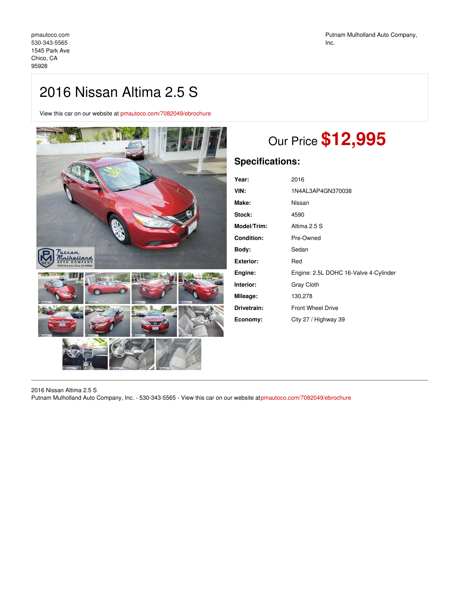## 2016 Nissan Altima 2.5 S

View this car on our website at [pmautoco.com/7082049/ebrochure](https://pmautoco.com/vehicle/7082049/2016-nissan-altima-2-5-s-chico-ca-95928/7082049/ebrochure)



## Our Price **\$12,995**

## **Specifications:**

| Year:              | 2016                                  |
|--------------------|---------------------------------------|
| VIN:               | 1N4AL3AP4GN370038                     |
| Make:              | Nissan                                |
| Stock:             | 4590                                  |
| <b>Model/Trim:</b> | Altima 2.5 S                          |
| <b>Condition:</b>  | Pre-Owned                             |
| Body:              | Sedan                                 |
| Exterior:          | Red                                   |
| Engine:            | Engine: 2.5L DOHC 16-Valve 4-Cylinder |
| Interior:          | <b>Gray Cloth</b>                     |
| Mileage:           | 130,278                               |
| Drivetrain:        | <b>Front Wheel Drive</b>              |
| Economy:           | City 27 / Highway 39                  |
|                    |                                       |

2016 Nissan Altima 2.5 S

Putnam Mulholland Auto Company, Inc. - 530-343-5565 - View this car on our website at[pmautoco.com/7082049/ebrochure](https://pmautoco.com/vehicle/7082049/2016-nissan-altima-2-5-s-chico-ca-95928/7082049/ebrochure)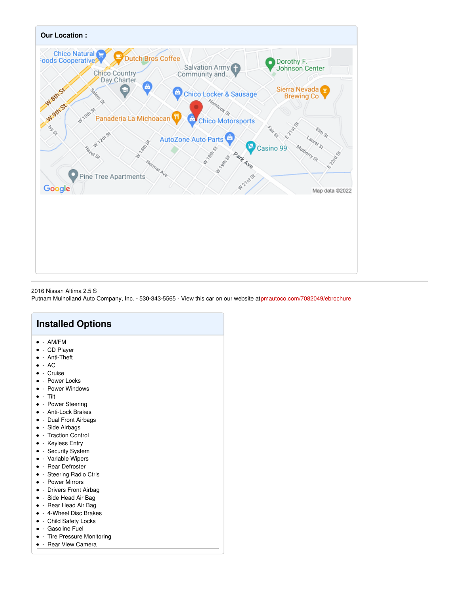

2016 Nissan Altima 2.5 S

Putnam Mulholland Auto Company, Inc. - 530-343-5565 - View this car on our website at[pmautoco.com/7082049/ebrochure](https://pmautoco.com/vehicle/7082049/2016-nissan-altima-2-5-s-chico-ca-95928/7082049/ebrochure)

- Tire Pressure Monitoring  $\bullet$
- - Rear View Camera